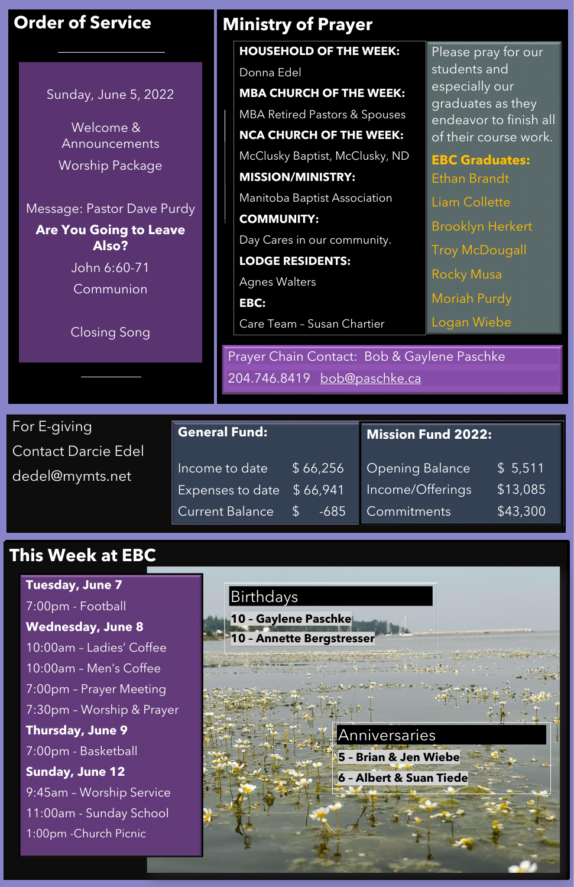Contact Darcie Edel dedel@mymts.net

## **This Week at EBC**

# Birthdays **10 – Gaylene Paschke 10 – Annette Bergstresser**

| <b>General Fund:</b>       |                         | Mission Fund 2022: $^{\dagger}$ |                 |  |
|----------------------------|-------------------------|---------------------------------|-----------------|--|
| Income to date             | \$66,256                | <b>Opening Balance</b>          | \$5,511         |  |
| Expenses to date $$66,941$ |                         | Income/Offerings                | \$13,085        |  |
| Current Balance            | $-685$<br>$\mathcal{S}$ | Commitments                     | $\sqrt{43,300}$ |  |

## **Order of Service**

|                                                                                                                                                               |                      |  | <b>HOUSEHOLD OF THE WEEK:</b>                                              |  | Please pray for our                                           |  |
|---------------------------------------------------------------------------------------------------------------------------------------------------------------|----------------------|--|----------------------------------------------------------------------------|--|---------------------------------------------------------------|--|
|                                                                                                                                                               |                      |  | Donna Edel                                                                 |  | students and                                                  |  |
| Sunday, June 5, 2022<br>Welcome &<br>Announcements<br>Worship Package<br>Message: Pastor Dave Purdy<br><b>Are You Going to Leave</b><br>Also?<br>John 6:60-71 |                      |  | <b>MBA CHURCH OF THE WEEK:</b>                                             |  | especially our<br>graduates as they<br>endeavor to finish all |  |
|                                                                                                                                                               |                      |  | <b>MBA Retired Pastors &amp; Spouses</b>                                   |  |                                                               |  |
|                                                                                                                                                               |                      |  | <b>NCA CHURCH OF THE WEEK:</b>                                             |  | of their course work.                                         |  |
|                                                                                                                                                               |                      |  | McClusky Baptist, McClusky, ND                                             |  | <b>EBC Graduates:</b><br>Ethan Brandt                         |  |
|                                                                                                                                                               |                      |  | <b>MISSION/MINISTRY:</b>                                                   |  |                                                               |  |
|                                                                                                                                                               |                      |  | Manitoba Baptist Association                                               |  | Liam Collette                                                 |  |
|                                                                                                                                                               |                      |  | <b>COMMUNITY:</b>                                                          |  | <b>Brooklyn Herkert</b>                                       |  |
|                                                                                                                                                               |                      |  | Day Cares in our community.                                                |  |                                                               |  |
|                                                                                                                                                               |                      |  | <b>LODGE RESIDENTS:</b>                                                    |  | <b>Troy McDougall</b>                                         |  |
| Communion                                                                                                                                                     |                      |  | <b>Agnes Walters</b>                                                       |  | <b>Rocky Musa</b>                                             |  |
|                                                                                                                                                               |                      |  | EBC:                                                                       |  | <b>Moriah Purdy</b>                                           |  |
|                                                                                                                                                               |                      |  | Care Team - Susan Chartier                                                 |  | Logan Wiebe                                                   |  |
| <b>Closing Song</b>                                                                                                                                           |                      |  | Prayer Chain Contact: Bob & Gaylene Paschke<br>204.746.8419 bob@paschke.ca |  |                                                               |  |
|                                                                                                                                                               |                      |  |                                                                            |  |                                                               |  |
|                                                                                                                                                               |                      |  |                                                                            |  |                                                               |  |
| For E-giving                                                                                                                                                  | <b>General Fund:</b> |  |                                                                            |  | <b>Mission Fund 2022:</b>                                     |  |



**Ministry of Prayer**

**Tuesday, June 7** 7:00pm - Football **Wednesday, June 8** 10:00am – Ladies' Coffee

10:00am – Men's Coffee 7:00pm – Prayer Meeting 7:30pm – Worship & Prayer **Thursday, June 9** 7:00pm - Basketball **Sunday, June 12** 9:45am – Worship Service 11:00am - Sunday School 1:00pm -Church Picnic